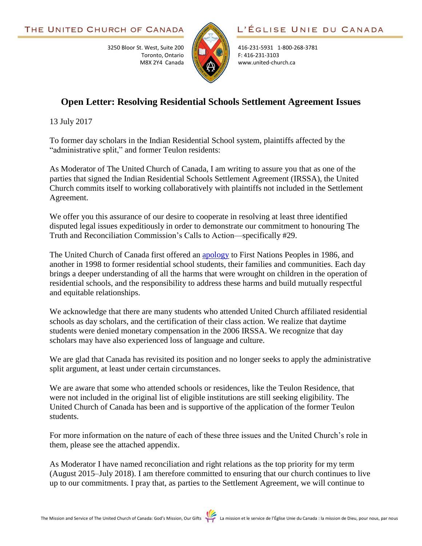3250 Bloor St. West, Suite 200

Toronto, Ontario M8X 2Y4 Canada



416-231-5931 1-800-268-3781 F: 416-231-3103 www.united-church.ca

## **Open Letter: Resolving Residential Schools Settlement Agreement Issues**

13 July 2017

To former day scholars in the Indian Residential School system, plaintiffs affected by the "administrative split," and former Teulon residents:

As Moderator of The United Church of Canada, I am writing to assure you that as one of the parties that signed the Indian Residential Schools Settlement Agreement (IRSSA), the United Church commits itself to working collaboratively with plaintiffs not included in the Settlement Agreement.

We offer you this assurance of our desire to cooperate in resolving at least three identified disputed legal issues expeditiously in order to demonstrate our commitment to honouring The Truth and Reconciliation Commission's Calls to Action—specifically #29.

The United Church of Canada first offered an [apology](http://www.united-church.ca/social-action/justice-initiatives/apologies) to First Nations Peoples in 1986, and another in 1998 to former residential school students, their families and communities. Each day brings a deeper understanding of all the harms that were wrought on children in the operation of residential schools, and the responsibility to address these harms and build mutually respectful and equitable relationships.

We acknowledge that there are many students who attended United Church affiliated residential schools as day scholars, and the certification of their class action. We realize that daytime students were denied monetary compensation in the 2006 IRSSA. We recognize that day scholars may have also experienced loss of language and culture.

We are glad that Canada has revisited its position and no longer seeks to apply the administrative split argument, at least under certain circumstances.

We are aware that some who attended schools or residences, like the Teulon Residence, that were not included in the original list of eligible institutions are still seeking eligibility. The United Church of Canada has been and is supportive of the application of the former Teulon students.

For more information on the nature of each of these three issues and the United Church's role in them, please see the attached appendix.

As Moderator I have named reconciliation and right relations as the top priority for my term (August 2015–July 2018). I am therefore committed to ensuring that our church continues to live up to our commitments. I pray that, as parties to the Settlement Agreement, we will continue to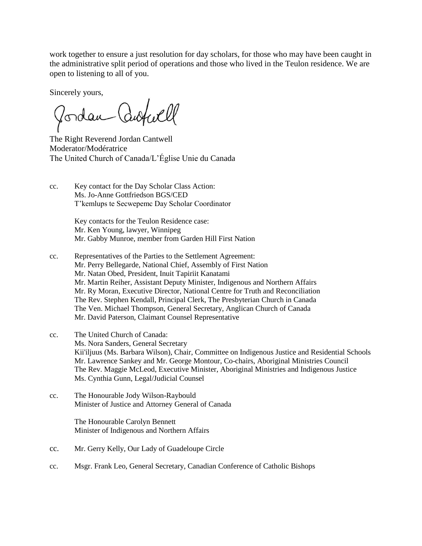work together to ensure a just resolution for day scholars, for those who may have been caught in the administrative split period of operations and those who lived in the Teulon residence. We are open to listening to all of you.

Sincerely yours,

autuell Vordan

The Right Reverend Jordan Cantwell Moderator/Modératrice The United Church of Canada/L'Église Unie du Canada

cc. Key contact for the Day Scholar Class Action: Ms. Jo-Anne Gottfriedson BGS/CED T'kemlups te Secwepemc Day Scholar Coordinator

> Key contacts for the Teulon Residence case: Mr. Ken Young, lawyer, Winnipeg Mr. Gabby Munroe, member from Garden Hill First Nation

- cc. Representatives of the Parties to the Settlement Agreement: Mr. Perry Bellegarde, National Chief, Assembly of First Nation Mr. Natan Obed, President, Inuit Tapiriit Kanatami Mr. Martin Reiher, Assistant Deputy Minister, Indigenous and Northern Affairs Mr. Ry Moran, Executive Director, National Centre for Truth and Reconciliation The Rev. Stephen Kendall, Principal Clerk, The Presbyterian Church in Canada The Ven. Michael Thompson, General Secretary, Anglican Church of Canada Mr. David Paterson, Claimant Counsel Representative
- cc. The United Church of Canada: Ms. Nora Sanders, General Secretary Kii'iljuus (Ms. Barbara Wilson), Chair, Committee on Indigenous Justice and Residential Schools Mr. Lawrence Sankey and Mr. George Montour, Co-chairs, Aboriginal Ministries Council The Rev. Maggie McLeod, Executive Minister, Aboriginal Ministries and Indigenous Justice Ms. Cynthia Gunn, Legal/Judicial Counsel
- cc. The Honourable Jody Wilson-Raybould Minister of Justice and Attorney General of Canada

The Honourable Carolyn Bennett Minister of Indigenous and Northern Affairs

- cc. Mr. Gerry Kelly, Our Lady of Guadeloupe Circle
- cc. Msgr. Frank Leo, General Secretary, Canadian Conference of Catholic Bishops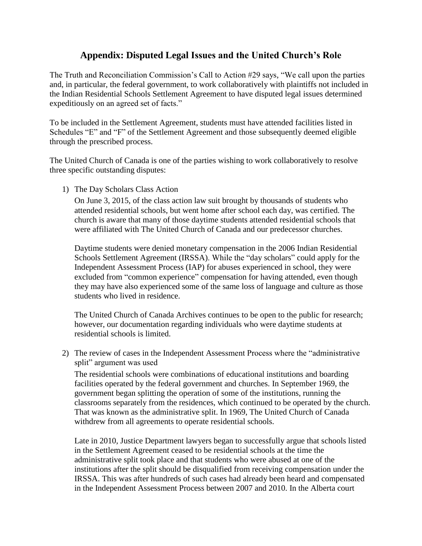## **Appendix: Disputed Legal Issues and the United Church's Role**

The Truth and Reconciliation Commission's Call to Action #29 says, "We call upon the parties and, in particular, the federal government, to work collaboratively with plaintiffs not included in the Indian Residential Schools Settlement Agreement to have disputed legal issues determined expeditiously on an agreed set of facts."

To be included in the Settlement Agreement, students must have attended facilities listed in Schedules "E" and "F" of the Settlement Agreement and those subsequently deemed eligible through the prescribed process.

The United Church of Canada is one of the parties wishing to work collaboratively to resolve three specific outstanding disputes:

1) The Day Scholars Class Action

On June 3, 2015, of the class action law suit brought by thousands of students who attended residential schools, but went home after school each day, was certified. The church is aware that many of those daytime students attended residential schools that were affiliated with The United Church of Canada and our predecessor churches.

Daytime students were denied monetary compensation in the 2006 Indian Residential Schools Settlement Agreement (IRSSA). While the "day scholars" could apply for the Independent Assessment Process (IAP) for abuses experienced in school, they were excluded from "common experience" compensation for having attended, even though they may have also experienced some of the same loss of language and culture as those students who lived in residence.

The United Church of Canada Archives continues to be open to the public for research; however, our documentation regarding individuals who were daytime students at residential schools is limited.

2) The review of cases in the Independent Assessment Process where the "administrative split" argument was used

The residential schools were combinations of educational institutions and boarding facilities operated by the federal government and churches. In September 1969, the government began splitting the operation of some of the institutions, running the classrooms separately from the residences, which continued to be operated by the church. That was known as the administrative split. In 1969, The United Church of Canada withdrew from all agreements to operate residential schools.

Late in 2010, Justice Department lawyers began to successfully argue that schools listed in the Settlement Agreement ceased to be residential schools at the time the administrative split took place and that students who were abused at one of the institutions after the split should be disqualified from receiving compensation under the IRSSA. This was after hundreds of such cases had already been heard and compensated in the Independent Assessment Process between 2007 and 2010. In the Alberta court